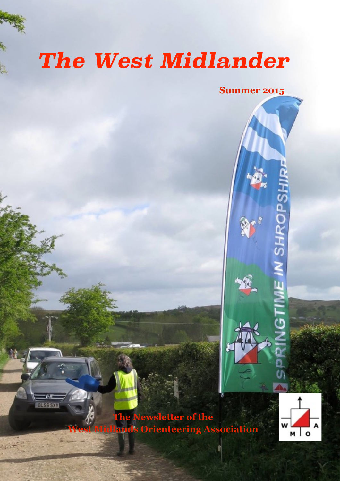# *The West Midlander*

**Summer 2015**

**HROPS** 

**The Newsletter of the West Midlands Orienteering Association**

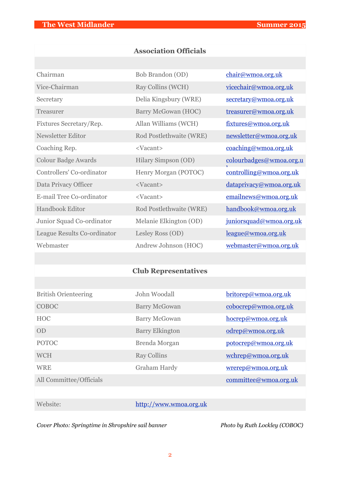### **Association Officials**

| Chairman                    | Bob Brandon (OD)        | chair@wmoa.org.uk       |
|-----------------------------|-------------------------|-------------------------|
| Vice-Chairman               | Ray Collins (WCH)       | vicechair@wmoa.org.uk   |
| Secretary                   | Delia Kingsbury (WRE)   | secretary@wmoa.org.uk   |
| Treasurer                   | Barry McGowan (HOC)     | treasurer@wmoa.org.uk   |
| Fixtures Secretary/Rep.     | Allan Williams (WCH)    | fixtures@wmoa.org.uk    |
| Newsletter Editor           | Rod Postlethwaite (WRE) | newsletter@wmoa.org.uk  |
| Coaching Rep.               | <vacant></vacant>       | coaching@wmoa.org.uk    |
| <b>Colour Badge Awards</b>  | Hilary Simpson (OD)     | colourbadges@wmoa.org.u |
| Controllers' Co-ordinator   | Henry Morgan (POTOC)    | controlling@wmoa.org.uk |
| Data Privacy Officer        | <vacant></vacant>       | dataprivacy@wmoa.org.uk |
| E-mail Tree Co-ordinator    | <vacant></vacant>       | emailnews@wmoa.org.uk   |
| <b>Handbook Editor</b>      | Rod Postlethwaite (WRE) | handbook@wmoa.org.uk    |
| Junior Squad Co-ordinator   | Melanie Elkington (OD)  | juniorsquad@wmoa.org.uk |
| League Results Co-ordinator | Lesley Ross (OD)        | league@wmoa.org.uk      |
| Webmaster                   | Andrew Johnson (HOC)    | webmaster@wmoa.org.uk   |

### **Club Representatives**

| <b>British Orienteering</b> | John Woodall           | britorep@wmoa.org.uk |
|-----------------------------|------------------------|----------------------|
| COBOC                       | <b>Barry McGowan</b>   | cobocrep@wmoa.org.uk |
| <b>HOC</b>                  | <b>Barry McGowan</b>   | hocrep@wmoa.org.uk   |
| OD                          | <b>Barry Elkington</b> | odrep@wmoa.org.uk    |
| <b>POTOC</b>                | Brenda Morgan          | potocrep@wmoa.org.uk |
| <b>WCH</b>                  | <b>Ray Collins</b>     | wchrep@wmoa.org.uk   |
| <b>WRE</b>                  | Graham Hardy           | wrerep@wmoa.org.uk   |
| All Committee/Officials     |                        | committe@wmoa.org.uk |

Website: <http://www.wmoa.org.uk>

*Cover Photo: Springtime in Shropshire sail banner* Photo *Photo by Ruth Lockley (COBOC)*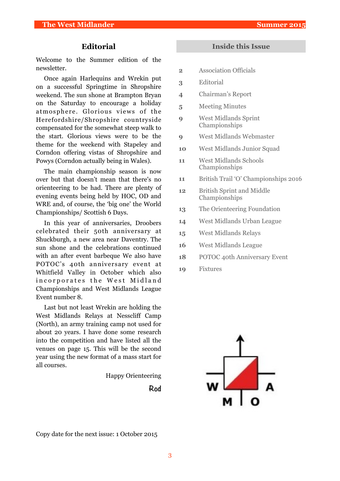#### **Editorial**

Welcome to the Summer edition of the newsletter.

Once again Harlequins and Wrekin put on a successful Springtime in Shropshire weekend. The sun shone at Brampton Bryan on the Saturday to encourage a holiday atmosphere. Glorious views of the Herefordshire/Shropshire countryside compensated for the somewhat steep walk to the start. Glorious views were to be the theme for the weekend with Stapeley and Corndon offering vistas of Shropshire and Powys (Corndon actually being in Wales).

The main championship season is now over but that doesn't mean that there's no orienteering to be had. There are plenty of evening events being held by HOC, OD and WRE and, of course, the 'big one' the World Championships/ Scottish 6 Days.

In this year of anniversaries, Droobers celebrated their 50th anniversary at Shuckburgh, a new area near Daventry. The sun shone and the celebrations continued with an after event barbeque We also have POTOC's 40th anniversary event at Whitfield Valley in October which also incorporates the West Midland Championships and West Midlands League Event number 8.

Last but not least Wrekin are holding the West Midlands Relays at Nesscliff Camp (North), an army training camp not used for about 20 years. I have done some research into the competition and have listed all the venues on page 15. This will be the second year using the new format of a mass start for all courses.

Happy Orienteering

**Rod** 

#### **Inside this Issue**

- **2** Association Officials
- **3** Editorial
- **4** Chairman's Report
- **5** Meeting Minutes
- **9** West Midlands Sprint Championships
- **9** West Midlands Webmaster
- **10** West Midlands Junior Squad
- **11** West Midlands Schools Championships
- **11** British Trail 'O' Championships 2016
- **12** British Sprint and Middle Championships
- **13** The Orienteering Foundation
- **14** West Midlands Urban League
- **15** West Midlands Relays
- **16** West Midlands League
- **18** POTOC 40th Anniversary Event
- **19** Fixtures



Copy date for the next issue: 1 October 2015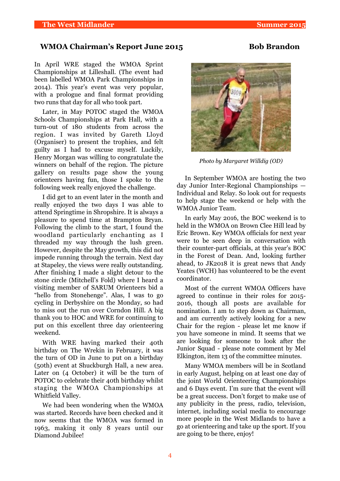#### WMOA Chairman's Report June 2015 **Bob Brandon**

In April WRE staged the WMOA Sprint Championships at Lilleshall. (The event had been labelled WMOA Park Championships in 2014). This year's event was very popular, with a prologue and final format providing two runs that day for all who took part.

Later, in May POTOC staged the WMOA Schools Championships at Park Hall, with a turn-out of 180 students from across the region. I was invited by Gareth Lloyd (Organiser) to present the trophies, and felt guilty as I had to excuse myself. Luckily, Henry Morgan was willing to congratulate the winners on behalf of the region. The picture gallery on results page show the young orienteers having fun, those I spoke to the following week really enjoyed the challenge.

I did get to an event later in the month and really enjoyed the two days I was able to attend Springtime in Shropshire. It is always a pleasure to spend time at Brampton Bryan. Following the climb to the start, I found the woodland particularly enchanting as I threaded my way through the lush green. However, despite the May growth, this did not impede running through the terrain. Next day at Stapeley, the views were really outstanding. After finishing I made a slight detour to the stone circle (Mitchell's Fold) where I heard a visiting member of SARUM Orienteers bid a "hello from Stonehenge". Alas, I was to go cycling in Derbyshire on the Monday, so had to miss out the run over Corndon Hill. A big thank you to HOC and WRE for continuing to put on this excellent three day orienteering weekend.

With WRE having marked their 40th birthday on The Wrekin in February, it was the turn of OD in June to put on a birthday (50th) event at Shuckburgh Hall, a new area. Later on (4 October) it will be the turn of POTOC to celebrate their 40th birthday whilst staging the WMOA Championships at Whitfield Valley.

We had been wondering when the WMOA was started. Records have been checked and it now seems that the WMOA was formed in 1963, making it only 8 years until our Diamond Jubilee!



*Photo by Margaret Willdig (OD)*

In September WMOA are hosting the two day Junior Inter-Regional Championships — Individual and Relay. So look out for requests to help stage the weekend or help with the WMOA Junior Team.

In early May 2016, the BOC weekend is to held in the WMOA on Brown Clee Hill lead by Eric Brown. Key WMOA officials for next year were to be seen deep in conversation with their counter-part officials, at this year's BOC in the Forest of Dean. And, looking further ahead, to JK2018 it is great news that Andy Yeates (WCH) has volunteered to be the event coordinator.

Most of the current WMOA Officers have agreed to continue in their roles for 2015- 2016, though all posts are available for nomination. I am to step down as Chairman, and am currently actively looking for a new Chair for the region - please let me know if you have someone in mind. It seems that we are looking for someone to look after the Junior Squad - please note comment by Mel Elkington, item 13 of the committee minutes.

Many WMOA members will be in Scotland in early August, helping on at least one day of the joint World Orienteering Championships and 6 Days event. I'm sure that the event will be a great success. Don't forget to make use of any publicity in the press, radio, television, internet, including social media to encourage more people in the West Midlands to have a go at orienteering and take up the sport. If you are going to be there, enjoy!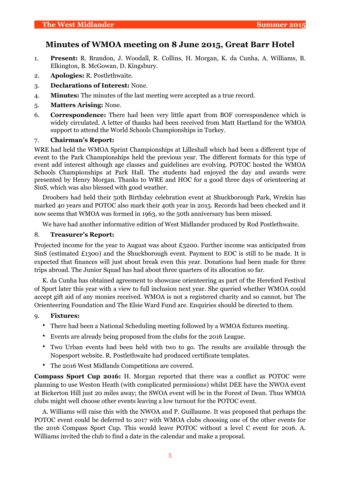#### **Minutes of WMOA meeting on 8 June 2015, Great Barr Hotel**

- 1. **Present:** R. Brandon, J. Woodall, R. Collins, H. Morgan, K. da Cunha, A. Williams, B. Elkington, B. McGowan, D. Kingsbury.
- 2. **Apologies:** R. Postlethwaite.
- 3. **Declarations of Interest:** None.
- 4. **Minutes:** The minutes of the last meeting were accepted as a true record.
- 5. **Matters Arising:** None.
- 6. **Correspondence:** There had been very little apart from BOF correspondence which is widely circulated. A letter of thanks had been received from Matt Hartland for the WMOA support to attend the World Schools Championships in Turkey.

#### 7. **Chairman's Report:**

WRE had held the WMOA Sprint Championships at Lilleshall which had been a different type of event to the Park Championships held the previous year. The different formats for this type of event add interest although age classes and guidelines are evolving. POTOC hosted the WMOA Schools Championships at Park Hall. The students had enjoyed the day and awards were presented by Henry Morgan. Thanks to WRE and HOC for a good three days of orienteering at SinS, which was also blessed with good weather.

Droobers had held their 50th Birthday celebration event at Shuckborough Park, Wrekin has marked 40 years and POTOC also mark their 40th year in 2015. Records had been checked and it now seems that WMOA was formed in 1963, so the 50th anniversary has been missed.

We have had another informative edition of West Midlander produced by Rod Postlethwaite.

#### 8. **Treasurer's Report:**

Projected income for the year to August was about £3200. Further income was anticipated from SinS (estimated £1300) and the Shuckborough event. Payment to EOC is still to be made. It is expected that finances will just about break even this year. Donations had been made for three trips abroad. The Junior Squad has had about three quarters of its allocation so far.

K. da Cunha has obtained agreement to showcase orienteering as part of the Hereford Festival of Sport later this year with a view to full inclusion next year. She queried whether WMOA could accept gift aid of any monies received. WMOA is not a registered charity and so cannot, but The Orienteering Foundation and The Elsie Ward Fund are. Enquiries should be directed to them.

#### 9. **Fixtures:**

- There had been a National Scheduling meeting followed by a WMOA fixtures meeting.
- Events are already being proposed from the clubs for the 2016 League.
- Two Urban events had been held with two to go. The results are available through the Nopesport website. R. Postlethwaite had produced certificate templates.
- The 2016 West Midlands Competitions are covered.

**Compass Sport Cup 2016:** H. Morgan reported that there was a conflict as POTOC were planning to use Weston Heath (with complicated permissions) whilst DEE have the NWOA event at Bickerton Hill just 20 miles away; the SWOA event will be in the Forest of Dean. Thus WMOA clubs might well choose other events leaving a low turnout for the POTOC event.

A. Williams will raise this with the NWOA and P. Guillaume. It was proposed that perhaps the POTOC event could be deferred to 2017 with WMOA clubs choosing one of the other events for the 2016 Compass Sport Cup. This would leave POTOC without a level C event for 2016. A. Williams invited the club to find a date in the calendar and make a proposal.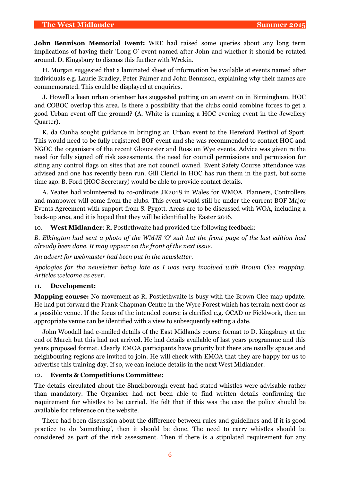**John Bennison Memorial Event:** WRE had raised some queries about any long term implications of having their 'Long O' event named after John and whether it should be rotated around. D. Kingsbury to discuss this further with Wrekin.

H. Morgan suggested that a laminated sheet of information be available at events named after individuals e.g. Laurie Bradley, Peter Palmer and John Bennison, explaining why their names are commemorated. This could be displayed at enquiries.

J. Howell a keen urban orienteer has suggested putting on an event on in Birmingham. HOC and COBOC overlap this area. Is there a possibility that the clubs could combine forces to get a good Urban event off the ground? (A. White is running a HOC evening event in the Jewellery Quarter).

K. da Cunha sought guidance in bringing an Urban event to the Hereford Festival of Sport. This would need to be fully registered BOF event and she was recommended to contact HOC and NGOC the organisers of the recent Gloucester and Ross on Wye events. Advice was given re the need for fully signed off risk assessments, the need for council permissions and permission for siting any control flags on sites that are not council owned. Event Safety Course attendance was advised and one has recently been run. Gill Clerici in HOC has run them in the past, but some time ago. B. Ford (HOC Secretary) would be able to provide contact details.

A. Yeates had volunteered to co-ordinate JK2018 in Wales for WMOA. Planners, Controllers and manpower will come from the clubs. This event would still be under the current BOF Major Events Agreement with support from S. Pygott. Areas are to be discussed with WOA, including a back-up area, and it is hoped that they will be identified by Easter 2016.

10. **West Midlander**: R. Postlethwaite had provided the following feedback:

*B. Elkington had sent a photo of the WMJS 'O' suit but the front page of the last edition had already been done. It may appear on the front of the next issue.* 

*An advert for webmaster had been put in the newsletter.*

*Apologies for the newsletter being late as I was very involved with Brown Clee mapping. Articles welcome as ever.* 

#### 11. **Development:**

**Mapping course:** No movement as R. Postlethwaite is busy with the Brown Clee map update. He had put forward the Frank Chapman Centre in the Wyre Forest which has terrain next door as a possible venue. If the focus of the intended course is clarified e.g. OCAD or Fieldwork, then an appropriate venue can be identified with a view to subsequently setting a date.

John Woodall had e-mailed details of the East Midlands course format to D. Kingsbury at the end of March but this had not arrived. He had details available of last years programme and this years proposed format. Clearly EMOA participants have priority but there are usually spaces and neighbouring regions are invited to join. He will check with EMOA that they are happy for us to advertise this training day. If so, we can include details in the next West Midlander.

#### 12. **Events & Competitions Committee:**

The details circulated about the Shuckborough event had stated whistles were advisable rather than mandatory. The Organiser had not been able to find written details confirming the requirement for whistles to be carried. He felt that if this was the case the policy should be available for reference on the website.

There had been discussion about the difference between rules and guidelines and if it is good practice to do 'something', then it should be done. The need to carry whistles should be considered as part of the risk assessment. Then if there is a stipulated requirement for any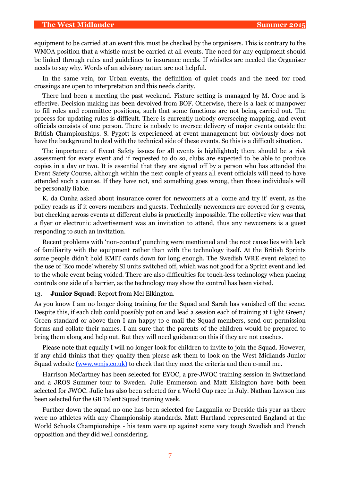#### **The West Midlander Summer 2015**

equipment to be carried at an event this must be checked by the organisers. This is contrary to the WMOA position that a whistle must be carried at all events. The need for any equipment should be linked through rules and guidelines to insurance needs. If whistles are needed the Organiser needs to say why. Words of an advisory nature are not helpful.

In the same vein, for Urban events, the definition of quiet roads and the need for road crossings are open to interpretation and this needs clarity.

There had been a meeting the past weekend. Fixture setting is managed by M. Cope and is effective. Decision making has been devolved from BOF. Otherwise, there is a lack of manpower to fill roles and committee positions, such that some functions are not being carried out. The process for updating rules is difficult. There is currently nobody overseeing mapping, and event officials consists of one person. There is nobody to oversee delivery of major events outside the British Championships. S. Pygott is experienced at event management but obviously does not have the background to deal with the technical side of these events. So this is a difficult situation.

The importance of Event Safety issues for all events is highlighted; there should be a risk assessment for every event and if requested to do so, clubs are expected to be able to produce copies in a day or two. It is essential that they are signed off by a person who has attended the Event Safety Course, although within the next couple of years all event officials will need to have attended such a course. If they have not, and something goes wrong, then those individuals will be personally liable.

K. da Cunha asked about insurance cover for newcomers at a 'come and try it' event, as the policy reads as if it covers members and guests. Technically newcomers are covered for 3 events, but checking across events at different clubs is practically impossible. The collective view was that a flyer or electronic advertisement was an invitation to attend, thus any newcomers is a guest responding to such an invitation.

Recent problems with 'non-contact' punching were mentioned and the root cause lies with lack of familiarity with the equipment rather than with the technology itself. At the British Sprints some people didn't hold EMIT cards down for long enough. The Swedish WRE event related to the use of 'Eco mode' whereby SI units switched off, which was not good for a Sprint event and led to the whole event being voided. There are also difficulties for touch-less technology when placing controls one side of a barrier, as the technology may show the control has been visited.

#### 13. **Junior Squad**: Report from Mel Elkington.

As you know I am no longer doing training for the Squad and Sarah has vanished off the scene. Despite this, if each club could possibly put on and lead a session each of training at Light Green/ Green standard or above then I am happy to e-mail the Squad members, send out permission forms and collate their names. I am sure that the parents of the children would be prepared to bring them along and help out. But they will need guidance on this if they are not coaches.

Please note that equally I will no longer look for children to invite to join the Squad. However, if any child thinks that they qualify then please ask them to look on the West Midlands Junior Squad website ([www.wmjs.co.uk\)](http://www.wmjs.co.uk) to check that they meet the criteria and then e-mail me.

Harrison McCartney has been selected for EYOC, a pre-JWOC training session in Switzerland and a JROS Summer tour to Sweden. Julie Emmerson and Matt Elkington have both been selected for JWOC. Julie has also been selected for a World Cup race in July. Nathan Lawson has been selected for the GB Talent Squad training week.

Further down the squad no one has been selected for Lagganlia or Deeside this year as there were no athletes with any Championship standards. Matt Hartland represented England at the World Schools Championships - his team were up against some very tough Swedish and French opposition and they did well considering.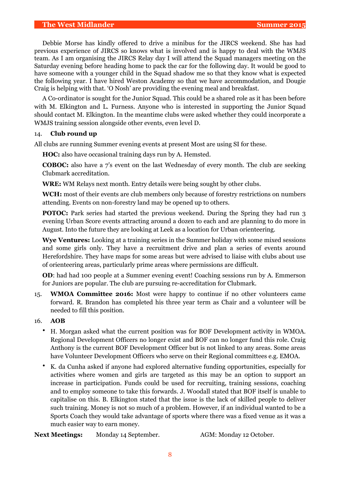Debbie Morse has kindly offered to drive a minibus for the JIRCS weekend. She has had previous experience of JIRCS so knows what is involved and is happy to deal with the WMJS team. As I am organising the JIRCS Relay day I will attend the Squad managers meeting on the Saturday evening before heading home to pack the car for the following day. It would be good to have someone with a younger child in the Squad shadow me so that they know what is expected the following year. I have hired Weston Academy so that we have accommodation, and Dougie Craig is helping with that. 'O Nosh' are providing the evening meal and breakfast.

A Co-ordinator is sought for the Junior Squad. This could be a shared role as it has been before with M. Elkington and L. Furness. Anyone who is interested in supporting the Junior Squad should contact M. Elkington. In the meantime clubs were asked whether they could incorporate a WMJS training session alongside other events, even level D.

#### 14. **Club round up**

All clubs are running Summer evening events at present Most are using SI for these.

**HOC:** also have occasional training days run by A. Hemsted.

**COBOC:** also have a 7's event on the last Wednesday of every month. The club are seeking Clubmark accreditation.

**WRE:** WM Relays next month. Entry details were being sought by other clubs.

**WCH:** most of their events are club members only because of forestry restrictions on numbers attending. Events on non-forestry land may be opened up to others.

**POTOC:** Park series had started the previous weekend. During the Spring they had run 3 evening Urban Score events attracting around a dozen to each and are planning to do more in August. Into the future they are looking at Leek as a location for Urban orienteering.

**Wye Ventures:** Looking at a training series in the Summer holiday with some mixed sessions and some girls only. They have a recruitment drive and plan a series of events around Herefordshire. They have maps for some areas but were advised to liaise with clubs about use of orienteering areas, particularly prime areas where permissions are difficult.

**OD**: had had 100 people at a Summer evening event! Coaching sessions run by A. Emmerson for Juniors are popular. The club are pursuing re-accreditation for Clubmark.

15. **WMOA Committee 2016:** Most were happy to continue if no other volunteers came forward. R. Brandon has completed his three year term as Chair and a volunteer will be needed to fill this position.

#### 16. **AOB**

- H. Morgan asked what the current position was for BOF Development activity in WMOA. Regional Development Officers no longer exist and BOF can no longer fund this role. Craig Anthony is the current BOF Development Officer but is not linked to any areas. Some areas have Volunteer Development Officers who serve on their Regional committees e.g. EMOA.
- K. da Cunha asked if anyone had explored alternative funding opportunities, especially for activities where women and girls are targeted as this may be an option to support an increase in participation. Funds could be used for recruiting, training sessions, coaching and to employ someone to take this forwards. J. Woodall stated that BOF itself is unable to capitalise on this. B. Elkington stated that the issue is the lack of skilled people to deliver such training. Money is not so much of a problem. However, if an individual wanted to be a Sports Coach they would take advantage of sports where there was a fixed venue as it was a much easier way to earn money.

**Next Meetings:** Monday 14 September. AGM: Monday 12 October.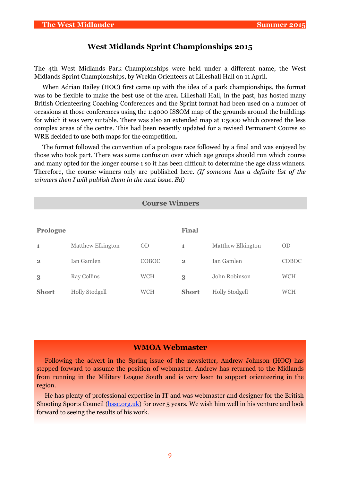#### **West Midlands Sprint Championships 2015**

The 4th West Midlands Park Championships were held under a different name, the West Midlands Sprint Championships, by Wrekin Orienteers at Lilleshall Hall on 11 April.

When Adrian Bailey (HOC) first came up with the idea of a park championships, the format was to be flexible to make the best use of the area. Lilleshall Hall, in the past, has hosted many British Orienteering Coaching Conferences and the Sprint format had been used on a number of occasions at those conferences using the 1:4000 ISSOM map of the grounds around the buildings for which it was very suitable. There was also an extended map at 1:5000 which covered the less complex areas of the centre. This had been recently updated for a revised Permanent Course so WRE decided to use both maps for the competition.

The format followed the convention of a prologue race followed by a final and was enjoyed by those who took part. There was some confusion over which age groups should run which course and many opted for the longer course 1 so it has been difficult to determine the age class winners. Therefore, the course winners only are published here. *(If someone has a definite list of the winners then I will publish them in the next issue. Ed)*

| <b>Course Winners</b> |                          |            |              |                       |            |  |  |  |
|-----------------------|--------------------------|------------|--------------|-----------------------|------------|--|--|--|
|                       |                          |            |              |                       |            |  |  |  |
| Prologue              |                          |            | Final        |                       |            |  |  |  |
| $\mathbf 1$           | <b>Matthew Elkington</b> | <b>OD</b>  | 1            | Matthew Elkington     | <b>OD</b>  |  |  |  |
| $\overline{2}$        | Ian Gamlen               | COBOC      | $\mathbf{2}$ | Jan Gamlen            | COBOC      |  |  |  |
| 3                     | <b>Ray Collins</b>       | <b>WCH</b> | 3            | John Robinson         | <b>WCH</b> |  |  |  |
| <b>Short</b>          | <b>Holly Stodgell</b>    | <b>WCH</b> | <b>Short</b> | <b>Holly Stodgell</b> | <b>WCH</b> |  |  |  |
|                       |                          |            |              |                       |            |  |  |  |

#### **WMOA Webmaster**

Following the advert in the Spring issue of the newsletter, Andrew Johnson (HOC) has stepped forward to assume the position of webmaster. Andrew has returned to the Midlands from running in the Military League South and is very keen to support orienteering in the region.

He has plenty of professional expertise in IT and was webmaster and designer for the British Shooting Sports Council ([bssc.org.uk\)](http://bssc.org.uk/) for over 5 years. We wish him well in his venture and look forward to seeing the results of his work.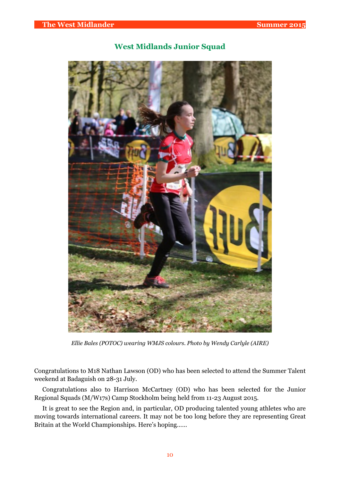

#### **West Midlands Junior Squad**

*Ellie Bales (POTOC) wearing WMJS colours. Photo by Wendy Carlyle (AIRE)*

Congratulations to M18 Nathan Lawson (OD) who has been selected to attend the Summer Talent weekend at Badaguish on 28-31 July.

Congratulations also to Harrison McCartney (OD) who has been selected for the Junior Regional Squads (M/W17s) Camp Stockholm being held from 11-23 August 2015.

It is great to see the Region and, in particular, OD producing talented young athletes who are moving towards international careers. It may not be too long before they are representing Great Britain at the World Championships. Here's hoping……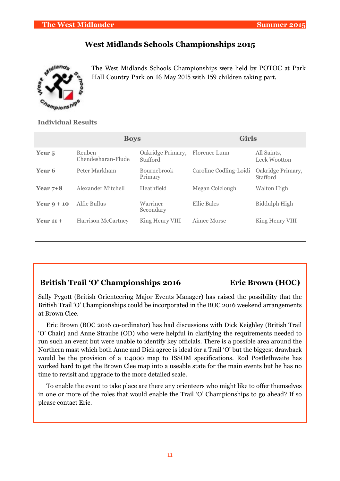#### **The West Midlander Summer 2015**

#### **West Midlands Schools Championships 2015**

The West Midlands Schools Championships were held by POTOC at Park Hall Country Park on 16 May 2015 with 159 children taking part.

#### **Individual Results**

|                   | <b>Boys</b>                  |                               | <b>Girls</b>           |                               |  |
|-------------------|------------------------------|-------------------------------|------------------------|-------------------------------|--|
| Year <sub>5</sub> | Reuben<br>Chendesharan-Flude | Oakridge Primary,<br>Stafford | Florence Lunn          | All Saints,<br>Leek Wootton   |  |
| Year 6            | Peter Markham                | <b>Bournebrook</b><br>Primary | Caroline Codling-Loidi | Oakridge Primary,<br>Stafford |  |
| Year $7+8$        | Alexander Mitchell           | Heathfield                    | Megan Colclough        | Walton High                   |  |
| Year $9 + 10$     | Alfie Bullus                 | Warriner<br>Secondary         | Ellie Bales            | Biddulph High                 |  |
| Year $11 +$       | <b>Harrison McCartney</b>    | King Henry VIII               | Aimee Morse            | King Henry VIII               |  |

#### British Trail 'O' Championships 2016 **Eric Brown (HOC)**

Sally Pygott (British Orienteering Major Events Manager) has raised the possibility that the British Trail 'O' Championships could be incorporated in the BOC 2016 weekend arrangements at Brown Clee.

Eric Brown (BOC 2016 co-ordinator) has had discussions with Dick Keighley (British Trail 'O' Chair) and Anne Straube (OD) who were helpful in clarifying the requirements needed to run such an event but were unable to identify key officials. There is a possible area around the Northern mast which both Anne and Dick agree is ideal for a Trail 'O' but the biggest drawback would be the provision of a 1:4000 map to ISSOM specifications. Rod Postlethwaite has worked hard to get the Brown Clee map into a useable state for the main events but he has no time to revisit and upgrade to the more detailed scale.

To enable the event to take place are there any orienteers who might like to offer themselves in one or more of the roles that would enable the Trail 'O' Championships to go ahead? If so please contact Eric.

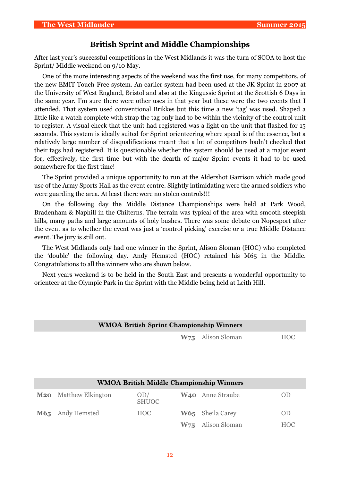#### **British Sprint and Middle Championships**

After last year's successful competitions in the West Midlands it was the turn of SCOA to host the Sprint/ Middle weekend on 9/10 May.

One of the more interesting aspects of the weekend was the first use, for many competitors, of the new EMIT Touch-Free system. An earlier system had been used at the JK Sprint in 2007 at the University of West England, Bristol and also at the Kingussie Sprint at the Scottish 6 Days in the same year. I'm sure there were other uses in that year but these were the two events that I attended. That system used conventional Brikkes but this time a new 'tag' was used. Shaped a little like a watch complete with strap the tag only had to be within the vicinity of the control unit to register. A visual check that the unit had registered was a light on the unit that flashed for 15 seconds. This system is ideally suited for Sprint orienteering where speed is of the essence, but a relatively large number of disqualifications meant that a lot of competitors hadn't checked that their tags had registered. It is questionable whether the system should be used at a major event for, effectively, the first time but with the dearth of major Sprint events it had to be used somewhere for the first time!

The Sprint provided a unique opportunity to run at the Aldershot Garrison which made good use of the Army Sports Hall as the event centre. Slightly intimidating were the armed soldiers who were guarding the area. At least there were no stolen controls!!!

On the following day the Middle Distance Championships were held at Park Wood, Bradenham & Naphill in the Chilterns. The terrain was typical of the area with smooth steepish hills, many paths and large amounts of holy bushes. There was some debate on Nopesport after the event as to whether the event was just a 'control picking' exercise or a true Middle Distance event. The jury is still out.

The West Midlands only had one winner in the Sprint, Alison Sloman (HOC) who completed the 'double' the following day. Andy Hemsted (HOC) retained his M65 in the Middle. Congratulations to all the winners who are shown below.

Next years weekend is to be held in the South East and presents a wonderful opportunity to orienteer at the Olympic Park in the Sprint with the Middle being held at Leith Hill.

| <b>WMOA British Sprint Championship Winners</b> |                          |                     |                 |                                                 |                |  |  |
|-------------------------------------------------|--------------------------|---------------------|-----------------|-------------------------------------------------|----------------|--|--|
|                                                 |                          |                     | W <sub>75</sub> | Alison Sloman                                   | <b>HOC</b>     |  |  |
|                                                 |                          |                     |                 |                                                 |                |  |  |
|                                                 |                          |                     |                 |                                                 |                |  |  |
|                                                 |                          |                     |                 |                                                 |                |  |  |
|                                                 |                          |                     |                 | <b>WMOA British Middle Championship Winners</b> |                |  |  |
|                                                 |                          |                     |                 |                                                 |                |  |  |
| M20                                             | <b>Matthew Elkington</b> | OD/<br><b>SHUOC</b> |                 | <b>W<sub>40</sub></b> Anne Straube              | <b>OD</b>      |  |  |
| M65                                             | Andy Hemsted             | <b>HOC</b>          | W65             | Sheila Carey                                    | 0 <sub>D</sub> |  |  |
|                                                 |                          |                     | W <sub>75</sub> | Alison Sloman                                   | <b>HOC</b>     |  |  |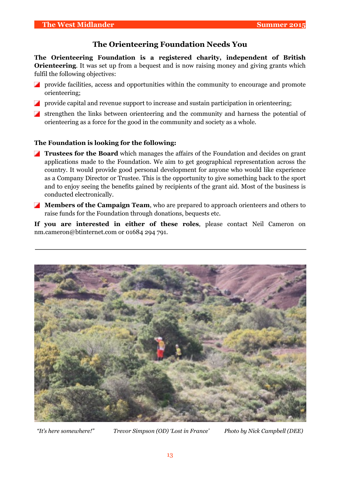#### **The Orienteering Foundation Needs You**

**The Orienteering Foundation is a registered charity, independent of British Orienteering**. It was set up from a bequest and is now raising money and giving grants which fulfil the following objectives:

- **Provide facilities, access and opportunities within the community to encourage and promote** orienteering;
- **Provide capital and revenue support to increase and sustain participation in orienteering;**
- strengthen the links between orienteering and the community and harness the potential of orienteering as a force for the good in the community and society as a whole.

#### **The Foundation is looking for the following:**

- **Trustees for the Board** which manages the affairs of the Foundation and decides on grant applications made to the Foundation. We aim to get geographical representation across the country. It would provide good personal development for anyone who would like experience as a Company Director or Trustee. This is the opportunity to give something back to the sport and to enjoy seeing the benefits gained by recipients of the grant aid. Most of the business is conducted electronically.
- **Members of the Campaign Team**, who are prepared to approach orienteers and others to raise funds for the Foundation through donations, bequests etc.

**If you are interested in either of these roles**, please contact Neil Cameron on nm.cameron@btinternet.com or 01684 294 791.



*"It's here somewhere!" Trevor Simpson (OD) 'Lost in France' Photo by Nick Campbell (DEE)*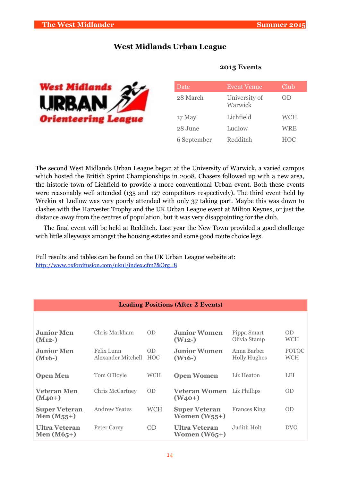#### **West Midlands Urban League**



| Date        | <b>Event Venue</b>       | Club       |
|-------------|--------------------------|------------|
| 28 March    | University of<br>Warwick | OD         |
| 17 May      | Lichfield                | <b>WCH</b> |
| 28 June     | Ludlow                   | WRE        |
| 6 September | Redditch                 | <b>HOC</b> |

#### **2015 Events**

The second West Midlands Urban League began at the University of Warwick, a varied campus which hosted the British Sprint Championships in 2008. Chasers followed up with a new area, the historic town of Lichfield to provide a more conventional Urban event. Both these events were reasonably well attended (135 and 127 competitors respectively). The third event held by Wrekin at Ludlow was very poorly attended with only 37 taking part. Maybe this was down to clashes with the Harvester Trophy and the UK Urban League event at Milton Keynes, or just the distance away from the centres of population, but it was very disappointing for the club.

The final event will be held at Redditch. Last year the New Town provided a good challenge with little alleyways amongst the housing estates and some good route choice legs.

Full results and tables can be found on the UK Urban League website at: <http://www.oxfordfusion.com/ukul/index.cfm?&Org=8>

| <b>Leading Positions (After 2 Events)</b> |                                  |                         |                                           |                                    |                     |  |  |
|-------------------------------------------|----------------------------------|-------------------------|-------------------------------------------|------------------------------------|---------------------|--|--|
|                                           |                                  |                         |                                           |                                    |                     |  |  |
| <b>Junior Men</b><br>$(M12-)$             | Chris Markham                    | 0 <sub>D</sub>          | <b>Junior Women</b><br>(W <sub>12</sub> ) | Pippa Smart<br>Olivia Stamp        | <b>OD</b><br>WCH    |  |  |
| <b>Junior Men</b><br>$(M16-)$             | Felix Lunn<br>Alexander Mitchell | <b>OD</b><br><b>HOC</b> | <b>Junior Women</b><br>$(W16-)$           | Anna Barber<br><b>Holly Hughes</b> | <b>POTOC</b><br>WCH |  |  |
| <b>Open Men</b>                           | Tom O'Boyle                      | <b>WCH</b>              | <b>Open Women</b>                         | Liz Heaton                         | <b>LEI</b>          |  |  |
| <b>Veteran Men</b><br>$(M_{40+})$         | <b>Chris McCartney</b>           | OD.                     | <b>Veteran Women</b><br>$(W_{40+})$       | Liz Phillips                       | <b>OD</b>           |  |  |
| <b>Super Veteran</b><br>Men $(M_{55}+)$   | <b>Andrew Yeates</b>             | <b>WCH</b>              | <b>Super Veteran</b><br>Women $(W_{55}+)$ | <b>Frances King</b>                | <b>OD</b>           |  |  |
| Ultra Veteran<br>Men $(M65+)$             | Peter Carey                      | 0D                      | Ultra Veteran<br>Women $(W65+)$           | Judith Holt                        | <b>DVO</b>          |  |  |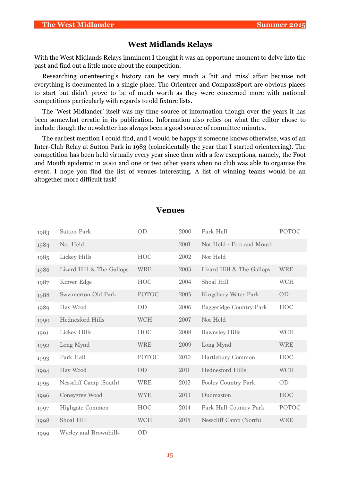#### **West Midlands Relays**

With the West Midlands Relays imminent I thought it was an opportune moment to delve into the past and find out a little more about the competition.

Researching orienteering's history can be very much a 'hit and miss' affair because not everything is documented in a single place. The Orienteer and CompassSport are obvious places to start but didn't prove to be of much worth as they were concerned more with national competitions particularly with regards to old fixture lists.

The 'West Midlander' itself was my time source of information though over the years it has been somewhat erratic in its publication. Information also relies on what the editor chose to include though the newsletter has always been a good source of committee minutes.

The earliest mention I could find, and I would be happy if someone knows otherwise, was of an Inter-Club Relay at Sutton Park in 1983 (coincidentally the year that I started orienteering). The competition has been held virtually every year since then with a few exceptions, namely, the Foot and Mouth epidemic in 2001 and one or two other years when no club was able to organise the event. I hope you find the list of venues interesting. A list of winning teams would be an altogether more difficult task!

| 1983 | <b>Sutton Park</b>        | OD           | 2000 | Park Hall                 | <b>POTOC</b> |
|------|---------------------------|--------------|------|---------------------------|--------------|
| 1984 | Not Held                  |              | 2001 | Not Held - Foot and Mouth |              |
| 1985 | Lickey Hills              | <b>HOC</b>   | 2002 | Not Held                  |              |
| 1986 | Lizard Hill & The Gallops | <b>WRE</b>   | 2003 | Lizard Hill & The Gallops | <b>WRE</b>   |
| 1987 | Kinver Edge               | <b>HOC</b>   | 2004 | Shoal Hill                | <b>WCH</b>   |
| 1988 | Swynnerton Old Park       | <b>POTOC</b> | 2005 | Kingsbury Water Park      | OD           |
| 1989 | Hay Wood                  | <b>OD</b>    | 2006 | Baggeridge Country Park   | <b>HOC</b>   |
| 1990 | <b>Hednesford Hills</b>   | <b>WCH</b>   | 2007 | Not Held                  |              |
| 1991 | Lickey Hills              | <b>HOC</b>   | 2008 | <b>Rawnsley Hills</b>     | <b>WCH</b>   |
| 1992 | Long Mynd                 | <b>WRE</b>   | 2009 | Long Mynd                 | <b>WRE</b>   |
| 1993 | Park Hall                 | <b>POTOC</b> | 2010 | Hartlebury Common         | <b>HOC</b>   |
| 1994 | Hay Wood                  | OD           | 2011 | <b>Hednesford Hills</b>   | <b>WCH</b>   |
| 1995 | Nesscliff Camp (South)    | <b>WRE</b>   | 2012 | Pooley Country Park       | OD           |
| 1996 | Coneygree Wood            | <b>WYE</b>   | 2013 | Dudmaston                 | <b>HOC</b>   |
| 1997 | <b>Highgate Common</b>    | <b>HOC</b>   | 2014 | Park Hall Country Park    | POTOC        |
| 1998 | Shoal Hill                | <b>WCH</b>   | 2015 | Nesscliff Camp (North)    | <b>WRE</b>   |
| 1999 | Wyrley and Brownhills     | 0D           |      |                           |              |

#### **Venues**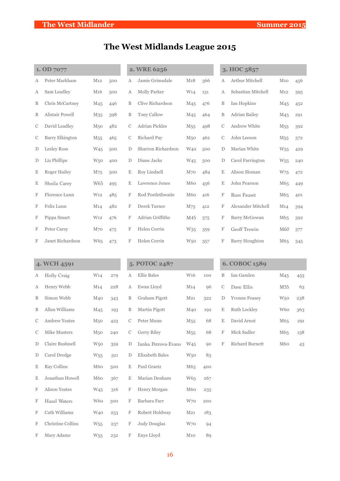# **The West Midlands League 2015**

|               | 1. OD 7077             |                 |     |             | 2. WRE 6256           |                 |     |               | 3. HOC 5857           |                 |     |
|---------------|------------------------|-----------------|-----|-------------|-----------------------|-----------------|-----|---------------|-----------------------|-----------------|-----|
| А             | Peter Markham          | M <sub>12</sub> | 500 | А           | Jamie Grimsdale       | M18             | 366 | А             | Arthur Mitchell       | M10             | 456 |
| Α             | Sam Leadley            | M <sub>16</sub> | 500 | А           | Molly Parker          | W <sub>14</sub> | 131 | А             | Sebastian Mitchell    | M <sub>12</sub> | 395 |
| B             | Chris McCartney        | M <sub>45</sub> | 446 | B           | Clive Richardson      | M <sub>45</sub> | 476 | B             | Ian Hopkins           | M <sub>45</sub> | 452 |
| B             | Alistair Powell        | M <sub>35</sub> | 398 | B           | Tony Callow           | M <sub>45</sub> | 464 | B             | Adrian Bailey         | M <sub>45</sub> | 291 |
| С             | David Leadley          | M <sub>50</sub> | 482 | С           | <b>Adrian Pickles</b> | M <sub>55</sub> | 498 | C             | <b>Andrew White</b>   | M <sub>55</sub> | 392 |
| С             | <b>Barry Elkington</b> | M <sub>55</sub> | 465 | $\mathbf C$ | Richard Pay           | M <sub>50</sub> | 462 | $\mathcal{C}$ | John Leeson           | M <sub>55</sub> | 372 |
| D             | Lesley Ross            | W <sub>45</sub> | 500 | D           | Sharron Richardson    | W <sub>40</sub> | 500 | D             | Marian White          | W <sub>55</sub> | 429 |
| D             | Liz Phillips           | W <sub>50</sub> | 400 | D           | Diane Jacks           | W <sub>45</sub> | 500 | D             | Carol Farrington      | W <sub>55</sub> | 240 |
| E             | <b>Roger Hailey</b>    | M75             | 500 | Ε           | Roy Lindsell          | $M_{70}$        | 484 | $\mathbf E$   | Alison Sloman         | W <sub>75</sub> | 472 |
| E             | Sheila Carey           | W65             | 495 | Ε           | Lawrence Jones        | M60             | 456 | Ε             | John Pearson          | M65             | 449 |
| F             | Florence Lunn          | W <sub>12</sub> | 485 | F           | Rod Postlethwaite     | M60             | 416 | F             | <b>Russ Fauset</b>    | M65             | 401 |
| F             | Felix Lunn             | M <sub>14</sub> | 482 | F           | Derek Turner          | M75             | 412 | F             | Alexander Mitchell    | M <sub>14</sub> | 394 |
| F             | Pippa Smart            | W <sub>12</sub> | 476 | F           | Adrian Griffiths      | M45             | 375 | F             | Barry McGowan         | M65             | 392 |
| F             | Peter Carey            | M <sub>70</sub> | 475 | F           | Helen Corrin          | W <sub>35</sub> | 359 | F             | Geoff Trewin          | M60             | 377 |
| F             | Janet Richardson       | W65             | 473 | F           | Helen Corrin          | W <sub>50</sub> | 357 | F             | <b>Barry Houghton</b> | M65             | 345 |
|               |                        |                 |     |             |                       |                 |     |               |                       |                 |     |
|               | 4. WCH 4591            |                 |     |             | 5. POTOC 2487         |                 |     |               | 6. COBOC 1589         |                 |     |
| Α             | Holly Craig            | W <sub>14</sub> | 279 | А           | <b>Ellie Bales</b>    | W <sub>16</sub> | 100 | B             | Ian Gamlen            | M <sub>45</sub> | 453 |
| Α             | Henry Webb             | M <sub>14</sub> | 228 | А           | Ewan Lloyd            | M14             | 96  | $\mathcal{C}$ | Dave Ellis            | M55             | 63  |
| B             | Simon Webb             | M <sub>40</sub> | 343 | B           | Graham Pigott         | M <sub>21</sub> | 322 | D             | <b>Yvonne Feasey</b>  | W <sub>50</sub> | 238 |
| B             | Allan Williams         | M <sub>45</sub> | 193 | B           | Martin Pigott         | M40             | 192 | Ε             | Ruth Lockley          | W60             | 363 |
| $\mathcal{C}$ | Andrew Yeates          | M50             | 423 | С           | Peter Munn            | M <sub>55</sub> | 68  | $\mathbf E$   | David Arnot           | M65             | 291 |
| С             | Mike Musters           | M <sub>50</sub> | 240 | С           | Gerry Riley           | M <sub>55</sub> | 68  | $\mathbf F$   | Mick Sadler           | M65             | 138 |
| D             | Claire Bushnell        | W <sub>50</sub> | 359 | D           | Ianka Petrova-Evans   | W <sub>45</sub> | 90  | F             | Richard Burnett       | M <sub>60</sub> | 43  |
| $\mathbf D$   | Carol Dredge           | W <sub>55</sub> | 321 | D           | Elizabeth Bales       | W <sub>50</sub> | 83  |               |                       |                 |     |
| E             | Ray Collins            | M60             | 500 | Ε           | Paul Graetz           | M65             | 400 |               |                       |                 |     |
| E             | Jonathan Howell        | M60             | 367 | Ε           | Marian Denham         | W <sub>65</sub> | 267 |               |                       |                 |     |
| F             | Alison Yeates          | W <sub>45</sub> | 316 | $\mathbf F$ | Henry Morgan          | M <sub>60</sub> | 235 |               |                       |                 |     |
| F             | Hazel Waters           | W60             | 300 | $\mathbf F$ | Barbara Farr          | W70             | 200 |               |                       |                 |     |

F Cath Williams W40 253 F Robert Holdway M21 183 F Christine Collins W55 237 F Judy Douglas W70 94 F Mary Adams W55 232 F Enys Lloyd M10 89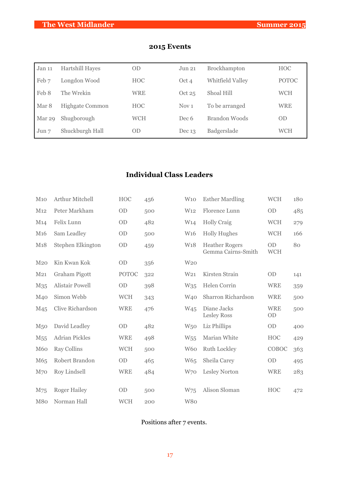| Jan 11 | Hartshill Hayes        | <b>OD</b>  | Jun 21           | <b>Brockhampton</b> | <b>HOC</b>   |
|--------|------------------------|------------|------------------|---------------------|--------------|
| Feb 7  | Longdon Wood           | <b>HOC</b> | Oct 4            | Whitfield Valley    | <b>POTOC</b> |
| Feb 8  | The Wrekin             | <b>WRE</b> | Oct $25$         | Shoal Hill          | <b>WCH</b>   |
| Mar 8  | <b>Highgate Common</b> | <b>HOC</b> | Nov <sub>1</sub> | To be arranged      | <b>WRE</b>   |
| Mar 29 | Shugborough            | <b>WCH</b> | Dec 6            | Brandon Woods       | <b>OD</b>    |
| Jun 7  | Shuckburgh Hall        | <b>OD</b>  | Dec $13$         | Badgerslade         | WCH          |

#### **2015 Events**

### **Individual Class Leaders**

| $M_{10}$        | Arthur Mitchell        | <b>HOC</b>   | 456 | W10             | <b>Esther Mardling</b>                      | <b>WCH</b>              | 180 |
|-----------------|------------------------|--------------|-----|-----------------|---------------------------------------------|-------------------------|-----|
| M12             | Peter Markham          | OD           | 500 | W <sub>12</sub> | Florence Lunn                               | OD                      | 485 |
| M14             | Felix Lunn             | OD           | 482 | W14             | <b>Holly Craig</b>                          | <b>WCH</b>              | 279 |
| M <sub>16</sub> | Sam Leadley            | OD           | 500 | W <sub>16</sub> | <b>Holly Hughes</b>                         | <b>WCH</b>              | 166 |
| M18             | Stephen Elkington      | <b>OD</b>    | 459 | W <sub>18</sub> | <b>Heather Rogers</b><br>Gemma Cairns-Smith | OD<br><b>WCH</b>        | 80  |
| M <sub>20</sub> | Kin Kwan Kok           | OD           | 356 | W <sub>20</sub> |                                             |                         |     |
| M <sub>21</sub> | <b>Graham Pigott</b>   | <b>POTOC</b> | 322 | W <sub>21</sub> | Kirsten Strain                              | <b>OD</b>               | 141 |
| M <sub>35</sub> | <b>Alistair Powell</b> | OD           | 398 | W <sub>35</sub> | Helen Corrin                                | <b>WRE</b>              | 359 |
| M40             | Simon Webb             | <b>WCH</b>   | 343 | W <sub>40</sub> | Sharron Richardson                          | <b>WRE</b>              | 500 |
| M <sub>45</sub> | Clive Richardson       | <b>WRE</b>   | 476 | <b>W45</b>      | Diane Jacks<br><b>Lesley Ross</b>           | <b>WRE</b><br><b>OD</b> | 500 |
| M <sub>50</sub> | David Leadley          | <b>OD</b>    | 482 | W <sub>50</sub> | Liz Phillips                                | <b>OD</b>               | 400 |
| M <sub>55</sub> | <b>Adrian Pickles</b>  | <b>WRE</b>   | 498 | W <sub>55</sub> | Marian White                                | <b>HOC</b>              | 429 |
| <b>M60</b>      | <b>Ray Collins</b>     | <b>WCH</b>   | 500 | W <sub>60</sub> | Ruth Lockley                                | COBOC                   | 363 |
| M65             | Robert Brandon         | OD           | 465 | W65             | Sheila Carey                                | OD                      | 495 |
| M70             | <b>Roy Lindsell</b>    | <b>WRE</b>   | 484 | W70             | Lesley Norton                               | <b>WRE</b>              | 283 |
| M75             | <b>Roger Hailey</b>    | OD           | 500 | W75             | Alison Sloman                               | <b>HOC</b>              | 472 |
| M80             | Norman Hall            | <b>WCH</b>   | 200 | W80             |                                             |                         |     |

#### Positions after 7 events.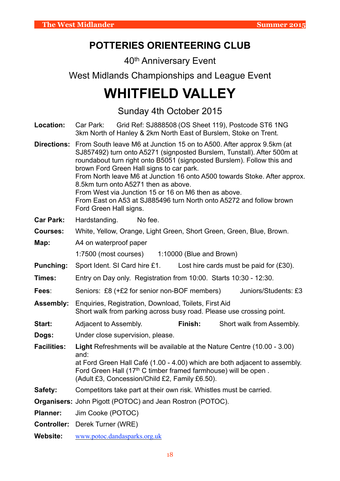# **POTTERIES ORIENTEERING CLUB**

40th Anniversary Event

West Midlands Championships and League Event

# **WHITFIELD VALLEY**

Sunday 4th October 2015

**Location:** Car Park: Grid Ref: SJ888508 (OS Sheet 119), Postcode ST6 1NG 3km North of Hanley & 2km North East of Burslem, Stoke on Trent.

**Directions:** From South leave M6 at Junction 15 on to A500. After approx 9.5km (at SJ857492) turn onto A5271 (signposted Burslem, Tunstall). After 500m at roundabout turn right onto B5051 (signposted Burslem). Follow this and brown Ford Green Hall signs to car park. From North leave M6 at Junction 16 onto A500 towards Stoke. After approx. 8.5km turn onto A5271 then as above. From West via Junction 15 or 16 on M6 then as above. From East on A53 at SJ885496 turn North onto A5272 and follow brown Ford Green Hall signs.

- **Car Park:** Hardstanding. No fee.
- **Courses:** White, Yellow, Orange, Light Green, Short Green, Green, Blue, Brown.

**Map:** A4 on waterproof paper

1:7500 (most courses) 1:10000 (Blue and Brown)

- **Punching:** Sport Ident. SI Card hire £1. Lost hire cards must be paid for (£30).
- **Times:** Entry on Day only. Registration from 10:00. Starts 10:30 12:30.
- **Fees**: Seniors: £8 (+£2 for senior non-BOF members) Juniors/Students: £3

**Assembly:** Enquiries, Registration, Download, Toilets, First Aid Short walk from parking across busy road. Please use crossing point.

- **Start:** Adjacent to Assembly. **Finish:** Short walk from Assembly.
- **Dogs:** Under close supervision, please.
- **Facilities: Light** Refreshments will be available at the Nature Centre (10.00 3.00) and:

 at Ford Green Hall Café (1.00 - 4.00) which are both adjacent to assembly. Ford Green Hall  $(17<sup>th</sup> C$  timber framed farmhouse) will be open. (Adult £3, Concession/Child £2, Family £6.50).

**Safety:** Competitors take part at their own risk. Whistles must be carried.

**Organisers:** John Pigott (POTOC) and Jean Rostron (POTOC).

- **Planner:** Jim Cooke (POTOC)
- **Controller:** Derek Turner (WRE)
- **Website:** [www.potoc.dandasparks.org.uk](http://www.potoc.dandasparks.org.uk)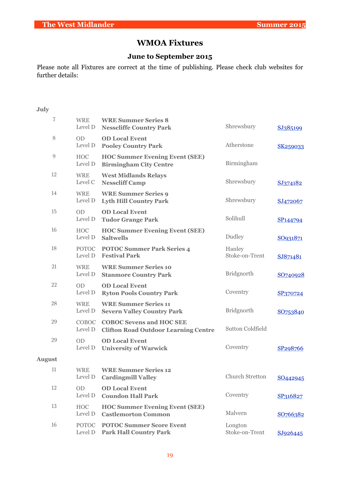## **WMOA Fixtures**

### **June to September 2015**

Please note all Fixtures are correct at the time of publishing. Please check club websites for further details:

#### **July**

| 7                | <b>WRE</b><br>Level D   | <b>WRE Summer Series 8</b><br><b>Nesscliffe Country Park</b>                   | Shrewsbury                | SJ385199             |
|------------------|-------------------------|--------------------------------------------------------------------------------|---------------------------|----------------------|
| 8                | <b>OD</b><br>Level D    | <b>OD Local Event</b><br><b>Pooley Country Park</b>                            | Atherstone                | SK259033             |
| $\boldsymbol{9}$ | <b>HOC</b><br>Level D   | <b>HOC Summer Evening Event (SEE)</b><br><b>Birmingham City Centre</b>         | Birmingham                |                      |
| 12               | <b>WRE</b><br>Level C   | <b>West Midlands Relays</b><br><b>Nesscliff Camp</b>                           | Shrewsbury                | SJ374182             |
| 14               | <b>WRE</b><br>Level D   | <b>WRE Summer Series 9</b><br><b>Lyth Hill Country Park</b>                    | Shrewsbury                | SJ472067             |
| 15               | <b>OD</b><br>Level D    | <b>OD Local Event</b><br><b>Tudor Grange Park</b>                              | Solihull                  | SP <sub>144794</sub> |
| 16               | <b>HOC</b><br>Level D   | <b>HOC Summer Evening Event (SEE)</b><br><b>Saltwells</b>                      | Dudley                    | SO931871             |
| 18               | <b>POTOC</b><br>Level D | <b>POTOC Summer Park Series 4</b><br><b>Festival Park</b>                      | Hanley<br>Stoke-on-Trent  | SJ871481             |
| 21               | <b>WRE</b><br>Level D   | <b>WRE Summer Series 10</b><br><b>Stanmore Country Park</b>                    | <b>Bridgnorth</b>         | SO740928             |
| 22               | <b>OD</b><br>Level D    | <b>OD Local Event</b><br><b>Ryton Pools Country Park</b>                       | Coventry                  | SP370724             |
| 28               | <b>WRE</b><br>Level D   | <b>WRE Summer Series 11</b><br><b>Severn Valley Country Park</b>               | <b>Bridgnorth</b>         | SO753840             |
| 29               | COBOC<br>Level D        | <b>COBOC Sevens and HOC SEE</b><br><b>Clifton Road Outdoor Learning Centre</b> | <b>Sutton Coldfield</b>   |                      |
| 29               | <b>OD</b><br>Level D    | <b>OD Local Event</b><br><b>University of Warwick</b>                          | Coventry                  | SP298766             |
| <b>August</b>    |                         |                                                                                |                           |                      |
| 11               | <b>WRE</b><br>Level D   | <b>WRE Summer Series 12</b><br><b>Cardingmill Valley</b>                       | Church Stretton           | SO442945             |
| 12               | <b>OD</b><br>Level D    | <b>OD Local Event</b><br><b>Coundon Hall Park</b>                              | Coventry                  | SP316827             |
| 13               | <b>HOC</b><br>Level D   | <b>HOC Summer Evening Event (SEE)</b><br><b>Castlemorton Common</b>            | Malvern                   | SO766382             |
| 16               | <b>POTOC</b><br>Level D | <b>POTOC Summer Score Event</b><br><b>Park Hall Country Park</b>               | Longton<br>Stoke-on-Trent | SJ926445             |